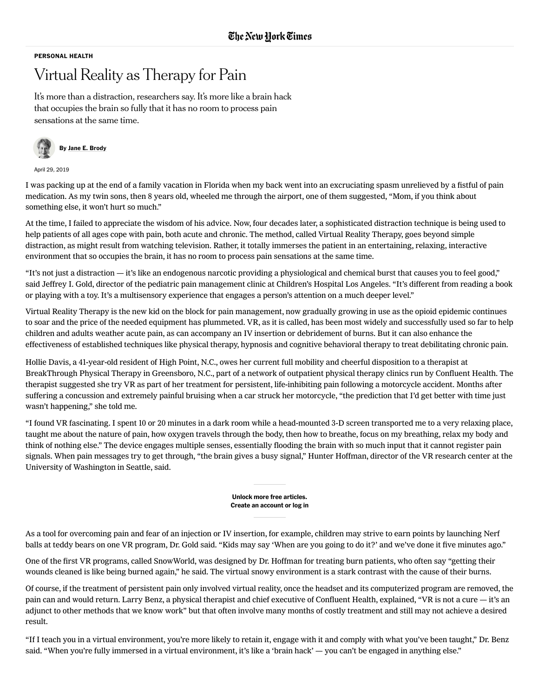## PERSONAL HEALTH

## Virtual Reality as Therapy for Pain

It's more than a distraction, researchers say. It's more like a brain hack that occupies the brain so fully that it has no room to process pain sensations at the same time.



April 29, 2019

I was packing up at the end of a family vacation in Florida when my back went into an excruciating spasm unrelieved by a fistful of pain medication. As my twin sons, then 8 years old, wheeled me through the airport, one of them suggested, "Mom, if you think about something else, it won't hurt so much."

At the time, I failed to appreciate the wisdom of his advice. Now, four decades later, a sophisticated distraction technique is being used to help patients of all ages cope with pain, both acute and chronic. The method, called Virtual Reality Therapy, goes beyond simple distraction, as might result from watching television. Rather, it totally immerses the patient in an entertaining, relaxing, interactive environment that so occupies the brain, it has no room to process pain sensations at the same time.

"It's not just a distraction — it's like an endogenous narcotic providing a physiological and chemical burst that causes you to feel good," said [Jeffrey I. Gold,](https://www.ncbi.nlm.nih.gov/pmc/articles/PMC3138477/) director of the pediatric pain management clinic at Children's Hospital Los Angeles. "It's different from reading a book or playing with a toy. It's a multisensory experience that engages a person's attention on a much deeper level."

Virtual Reality Therapy is the new kid on the block for pain management, now [gradually growing in use](https://www.ncbi.nlm.nih.gov/pubmed/29904806) as the opioid epidemic continues to soar and the price of the needed equipment has plummeted. VR, as it is called, has been most widely and successfully used so far to help children and adults weather acute pain, as can accompany an IV insertion or debridement of burns. But it can also enhance the effectiveness of established techniques like physical therapy, hypnosis and cognitive behavioral therapy to [treat debilitating chronic pain.](https://www.ncbi.nlm.nih.gov/pmc/articles/PMC5172565/pdf/pone.0167523.pdf)

Hollie Davis, a 41-year-old resident of High Point, N.C., owes her current full mobility and cheerful disposition to a therapist at BreakThrough Physical Therapy in Greensboro, N.C., part of a network of outpatient physical therapy clinics run by Confluent Health. The therapist suggested she try VR as part of her treatment for persistent, life-inhibiting pain following a motorcycle accident. Months after suffering a concussion and extremely painful bruising when a car struck her motorcycle, "the prediction that I'd get better with time just wasn't happening," she told me.

"I found VR fascinating. I spent 10 or 20 minutes in a dark room while a head-mounted 3-D screen transported me to a very relaxing place, taught me about the nature of pain, how oxygen travels through the body, then how to breathe, focus on my breathing, relax my body and think of nothing else." The device engages multiple senses, essentially flooding the brain with so much input that it cannot register pain signals. When pain messages try to get through, "the brain gives a busy signal," Hunter Hoffman, director of the VR research center at the University of Washington in Seattle, said.

> Unlock more free articles. [Create an account or log in](https://myaccount.nytimes.com/auth/register?response_type=cookie&client_id=freex&asset=InlineMessage&application=Free_Experience&redirect_uri=https%3A%2F%2Fwww.nytimes.com%2Fsubscription%2Fmultiproduct%2Flp8KQUS.html%3FcampaignID%3D7QF7X%26EXIT_URI%3Dhttps%3A%2F%2Fwww.nytimes.com%2F2019%2F04%2F29%2Fwell%2Flive%2Fvirtual-reality-as-therapy-for-pain.html)

As a tool for overcoming pain and fear of an injection or IV insertion, for example, children may strive to earn points by launching Nerf balls at teddy bears on one VR program, Dr. Gold said. "Kids may say 'When are you going to do it?' and we've done it five minutes ago."

One of the first VR programs, called SnowWorld, was designed by Dr. Hoffman for treating burn patients, who often say "getting their wounds cleaned is like being burned again," he said. The virtual snowy environment is a stark contrast with the cause of their burns.

Of course, if the treatment of persistent pain only involved virtual reality, once the headset and its computerized program are removed, the pain can and would return. Larry Benz, a physical therapist and chief executive of Confluent Health, explained, "VR is not a cure — it's an adjunct to other methods that we know work" but that often involve many months of costly treatment and still may not achieve a desired result.

"If I teach you in a virtual environment, you're more likely to retain it, engage with it and comply with what you've been taught," Dr. Benz said. "When you're fully immersed in a virtual environment, it's like a ʻbrain hack' — you can't be engaged in anything else."